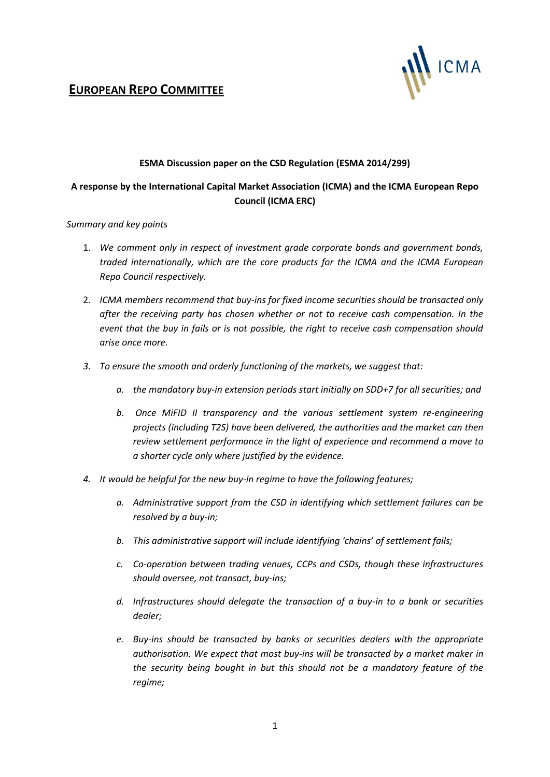

# **EUROPEAN REPO COMMITTEE**

#### **ESMA Discussion paper on the CSD Regulation (ESMA 2014/299)**

### **A response by the International Capital Market Association (ICMA) and the ICMA European Repo Council (ICMA ERC)**

#### *Summary and key points*

- 1. *We comment only in respect of investment grade corporate bonds and government bonds, traded internationally, which are the core products for the ICMA and the ICMA European Repo Council respectively.*
- 2. *ICMA members recommend that buy-ins for fixed income securities should be transacted only after the receiving party has chosen whether or not to receive cash compensation. In the event that the buy in fails or is not possible, the right to receive cash compensation should arise once more.*
- *3. To ensure the smooth and orderly functioning of the markets, we suggest that:*
	- *a. the mandatory buy-in extension periods start initially on SDD+7 for all securities; and*
	- *b. Once MiFID II transparency and the various settlement system re-engineering projects (including T2S) have been delivered, the authorities and the market can then review settlement performance in the light of experience and recommend a move to a shorter cycle only where justified by the evidence.*
- *4. It would be helpful for the new buy-in regime to have the following features;*
	- *a. Administrative support from the CSD in identifying which settlement failures can be resolved by a buy-in;*
	- *b. This administrative support will include identifying 'chains' of settlement fails;*
	- *c. Co-operation between trading venues, CCPs and CSDs, though these infrastructures should oversee, not transact, buy-ins;*
	- *d. Infrastructures should delegate the transaction of a buy-in to a bank or securities dealer;*
	- *e. Buy-ins should be transacted by banks or securities dealers with the appropriate authorisation. We expect that most buy-ins will be transacted by a market maker in the security being bought in but this should not be a mandatory feature of the regime;*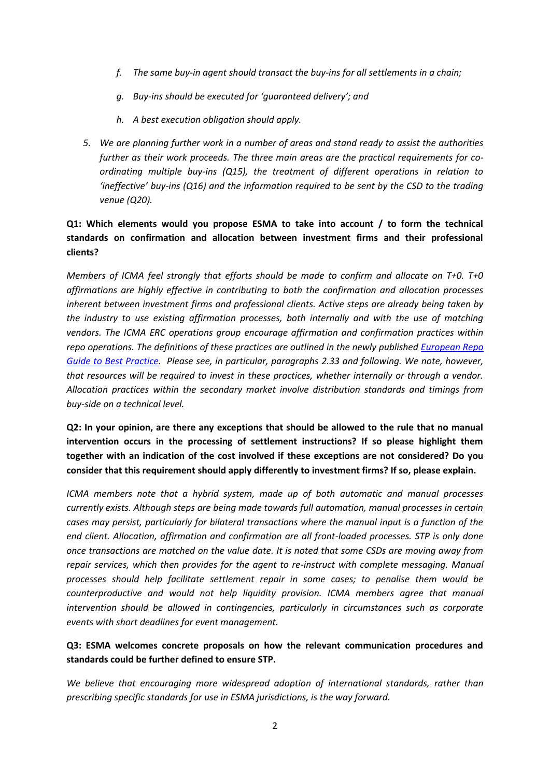- *f. The same buy-in agent should transact the buy-ins for all settlements in a chain;*
- *g. Buy-ins should be executed for 'guaranteed delivery'; and*
- *h. A best execution obligation should apply.*
- *5. We are planning further work in a number of areas and stand ready to assist the authorities further as their work proceeds. The three main areas are the practical requirements for coordinating multiple buy-ins (Q15), the treatment of different operations in relation to 'ineffective' buy-ins (Q16) and the information required to be sent by the CSD to the trading venue (Q20).*

# **Q1: Which elements would you propose ESMA to take into account / to form the technical standards on confirmation and allocation between investment firms and their professional clients?**

*Members of ICMA feel strongly that efforts should be made to confirm and allocate on T+0. T+0 affirmations are highly effective in contributing to both the confirmation and allocation processes inherent between investment firms and professional clients. Active steps are already being taken by the industry to use existing affirmation processes, both internally and with the use of matching vendors. The ICMA ERC operations group encourage affirmation and confirmation practices within repo operations. The definitions of these practices are outlined in the newly published [European Repo](http://www.icmagroup.org/Regulatory-Policy-and-Market-Practice/short-term-markets/Repo-Markets/repo0/)  [Guide to Best Practice.](http://www.icmagroup.org/Regulatory-Policy-and-Market-Practice/short-term-markets/Repo-Markets/repo0/) Please see, in particular, paragraphs 2.33 and following. We note, however, that resources will be required to invest in these practices, whether internally or through a vendor. Allocation practices within the secondary market involve distribution standards and timings from buy-side on a technical level.* 

**Q2: In your opinion, are there any exceptions that should be allowed to the rule that no manual intervention occurs in the processing of settlement instructions? If so please highlight them together with an indication of the cost involved if these exceptions are not considered? Do you consider that this requirement should apply differently to investment firms? If so, please explain.** 

*ICMA members note that a hybrid system, made up of both automatic and manual processes currently exists. Although steps are being made towards full automation, manual processes in certain cases may persist, particularly for bilateral transactions where the manual input is a function of the end client. Allocation, affirmation and confirmation are all front-loaded processes. STP is only done once transactions are matched on the value date. It is noted that some CSDs are moving away from repair services, which then provides for the agent to re-instruct with complete messaging. Manual processes should help facilitate settlement repair in some cases; to penalise them would be counterproductive and would not help liquidity provision. ICMA members agree that manual intervention should be allowed in contingencies, particularly in circumstances such as corporate events with short deadlines for event management.* 

### **Q3: ESMA welcomes concrete proposals on how the relevant communication procedures and standards could be further defined to ensure STP.**

*We believe that encouraging more widespread adoption of international standards, rather than prescribing specific standards for use in ESMA jurisdictions, is the way forward.*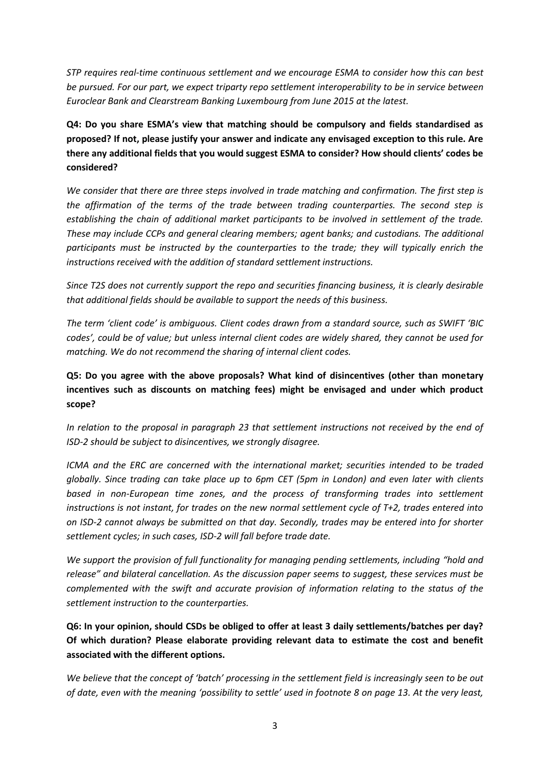*STP requires real-time continuous settlement and we encourage ESMA to consider how this can best be pursued. For our part, we expect triparty repo settlement interoperability to be in service between Euroclear Bank and Clearstream Banking Luxembourg from June 2015 at the latest.*

**Q4: Do you share ESMA's view that matching should be compulsory and fields standardised as proposed? If not, please justify your answer and indicate any envisaged exception to this rule. Are there any additional fields that you would suggest ESMA to consider? How should clients' codes be considered?** 

*We consider that there are three steps involved in trade matching and confirmation. The first step is the affirmation of the terms of the trade between trading counterparties. The second step is establishing the chain of additional market participants to be involved in settlement of the trade. These may include CCPs and general clearing members; agent banks; and custodians. The additional participants must be instructed by the counterparties to the trade; they will typically enrich the instructions received with the addition of standard settlement instructions.* 

*Since T2S does not currently support the repo and securities financing business, it is clearly desirable that additional fields should be available to support the needs of this business.*

*The term 'client code' is ambiguous. Client codes drawn from a standard source, such as SWIFT 'BIC codes', could be of value; but unless internal client codes are widely shared, they cannot be used for matching. We do not recommend the sharing of internal client codes.*

**Q5: Do you agree with the above proposals? What kind of disincentives (other than monetary incentives such as discounts on matching fees) might be envisaged and under which product scope?** 

*In relation to the proposal in paragraph 23 that settlement instructions not received by the end of ISD-2 should be subject to disincentives, we strongly disagree.* 

*ICMA and the ERC are concerned with the international market; securities intended to be traded globally. Since trading can take place up to 6pm CET (5pm in London) and even later with clients based in non-European time zones, and the process of transforming trades into settlement instructions is not instant, for trades on the new normal settlement cycle of T+2, trades entered into on ISD-2 cannot always be submitted on that day. Secondly, trades may be entered into for shorter settlement cycles; in such cases, ISD-2 will fall before trade date.* 

*We support the provision of full functionality for managing pending settlements, including "hold and release" and bilateral cancellation. As the discussion paper seems to suggest, these services must be complemented with the swift and accurate provision of information relating to the status of the settlement instruction to the counterparties.* 

**Q6: In your opinion, should CSDs be obliged to offer at least 3 daily settlements/batches per day? Of which duration? Please elaborate providing relevant data to estimate the cost and benefit associated with the different options.** 

*We believe that the concept of 'batch' processing in the settlement field is increasingly seen to be out of date, even with the meaning 'possibility to settle' used in footnote 8 on page 13. At the very least,*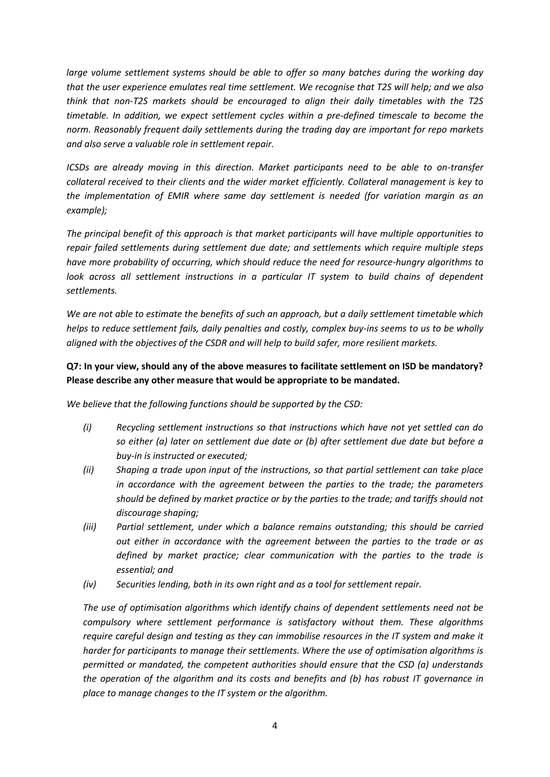*large volume settlement systems should be able to offer so many batches during the working day that the user experience emulates real time settlement. We recognise that T2S will help; and we also think that non-T2S markets should be encouraged to align their daily timetables with the T2S timetable. In addition, we expect settlement cycles within a pre-defined timescale to become the norm. Reasonably frequent daily settlements during the trading day are important for repo markets and also serve a valuable role in settlement repair.*

*ICSDs are already moving in this direction. Market participants need to be able to on-transfer collateral received to their clients and the wider market efficiently. Collateral management is key to the implementation of EMIR where same day settlement is needed (for variation margin as an example);*

*The principal benefit of this approach is that market participants will have multiple opportunities to repair failed settlements during settlement due date; and settlements which require multiple steps have more probability of occurring, which should reduce the need for resource-hungry algorithms to look across all settlement instructions in a particular IT system to build chains of dependent settlements.* 

*We are not able to estimate the benefits of such an approach, but a daily settlement timetable which helps to reduce settlement fails, daily penalties and costly, complex buy-ins seems to us to be wholly aligned with the objectives of the CSDR and will help to build safer, more resilient markets.*

# **Q7: In your view, should any of the above measures to facilitate settlement on ISD be mandatory? Please describe any other measure that would be appropriate to be mandated.**

*We believe that the following functions should be supported by the CSD:*

- *(i) Recycling settlement instructions so that instructions which have not yet settled can do so either (a) later on settlement due date or (b) after settlement due date but before a buy-in is instructed or executed;*
- *(ii) Shaping a trade upon input of the instructions, so that partial settlement can take place in accordance with the agreement between the parties to the trade; the parameters should be defined by market practice or by the parties to the trade; and tariffs should not discourage shaping;*
- *(iii) Partial settlement, under which a balance remains outstanding; this should be carried out either in accordance with the agreement between the parties to the trade or as defined by market practice; clear communication with the parties to the trade is essential; and*
- *(iv) Securities lending, both in its own right and as a tool for settlement repair.*

*The use of optimisation algorithms which identify chains of dependent settlements need not be compulsory where settlement performance is satisfactory without them. These algorithms require careful design and testing as they can immobilise resources in the IT system and make it harder for participants to manage their settlements. Where the use of optimisation algorithms is permitted or mandated, the competent authorities should ensure that the CSD (a) understands the operation of the algorithm and its costs and benefits and (b) has robust IT governance in place to manage changes to the IT system or the algorithm.*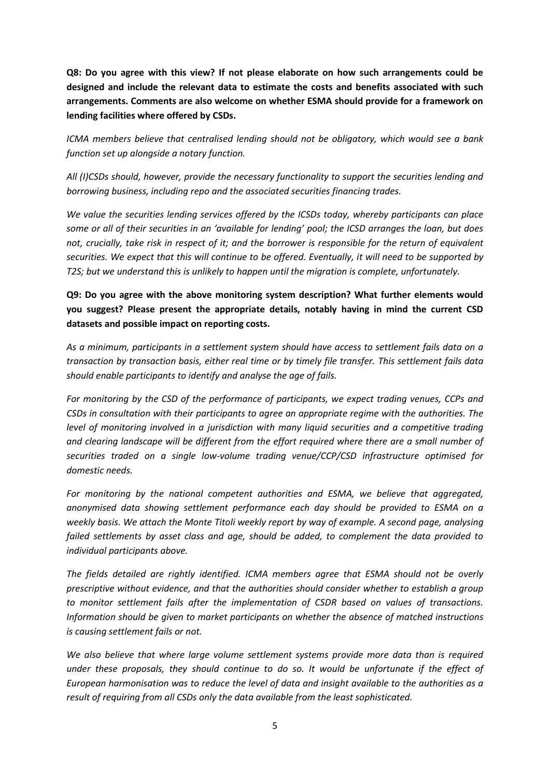**Q8: Do you agree with this view? If not please elaborate on how such arrangements could be designed and include the relevant data to estimate the costs and benefits associated with such arrangements. Comments are also welcome on whether ESMA should provide for a framework on lending facilities where offered by CSDs.** 

*ICMA members believe that centralised lending should not be obligatory, which would see a bank function set up alongside a notary function.* 

*All (I)CSDs should, however, provide the necessary functionality to support the securities lending and borrowing business, including repo and the associated securities financing trades.*

*We value the securities lending services offered by the ICSDs today, whereby participants can place some or all of their securities in an 'available for lending' pool; the ICSD arranges the loan, but does not, crucially, take risk in respect of it; and the borrower is responsible for the return of equivalent securities. We expect that this will continue to be offered. Eventually, it will need to be supported by T2S; but we understand this is unlikely to happen until the migration is complete, unfortunately.*

**Q9: Do you agree with the above monitoring system description? What further elements would you suggest? Please present the appropriate details, notably having in mind the current CSD datasets and possible impact on reporting costs.** 

*As a minimum, participants in a settlement system should have access to settlement fails data on a transaction by transaction basis, either real time or by timely file transfer. This settlement fails data should enable participants to identify and analyse the age of fails.*

*For monitoring by the CSD of the performance of participants, we expect trading venues, CCPs and CSDs in consultation with their participants to agree an appropriate regime with the authorities. The level of monitoring involved in a jurisdiction with many liquid securities and a competitive trading and clearing landscape will be different from the effort required where there are a small number of securities traded on a single low-volume trading venue/CCP/CSD infrastructure optimised for domestic needs.* 

*For monitoring by the national competent authorities and ESMA, we believe that aggregated, anonymised data showing settlement performance each day should be provided to ESMA on a weekly basis. We attach the Monte Titoli weekly report by way of example. A second page, analysing failed settlements by asset class and age, should be added, to complement the data provided to individual participants above.*

*The fields detailed are rightly identified. ICMA members agree that ESMA should not be overly prescriptive without evidence, and that the authorities should consider whether to establish a group to monitor settlement fails after the implementation of CSDR based on values of transactions. Information should be given to market participants on whether the absence of matched instructions is causing settlement fails or not.* 

*We also believe that where large volume settlement systems provide more data than is required under these proposals, they should continue to do so. It would be unfortunate if the effect of European harmonisation was to reduce the level of data and insight available to the authorities as a result of requiring from all CSDs only the data available from the least sophisticated.*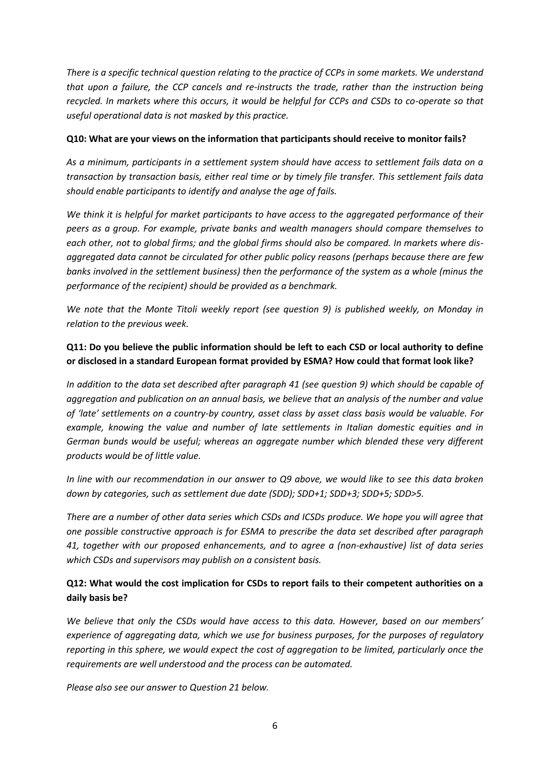*There is a specific technical question relating to the practice of CCPs in some markets. We understand that upon a failure, the CCP cancels and re-instructs the trade, rather than the instruction being recycled. In markets where this occurs, it would be helpful for CCPs and CSDs to co-operate so that useful operational data is not masked by this practice.*

#### **Q10: What are your views on the information that participants should receive to monitor fails?**

*As a minimum, participants in a settlement system should have access to settlement fails data on a transaction by transaction basis, either real time or by timely file transfer. This settlement fails data should enable participants to identify and analyse the age of fails.*

*We think it is helpful for market participants to have access to the aggregated performance of their peers as a group. For example, private banks and wealth managers should compare themselves to each other, not to global firms; and the global firms should also be compared. In markets where disaggregated data cannot be circulated for other public policy reasons (perhaps because there are few banks involved in the settlement business) then the performance of the system as a whole (minus the performance of the recipient) should be provided as a benchmark.* 

*We note that the Monte Titoli weekly report (see question 9) is published weekly, on Monday in relation to the previous week.*

### **Q11: Do you believe the public information should be left to each CSD or local authority to define or disclosed in a standard European format provided by ESMA? How could that format look like?**

*In addition to the data set described after paragraph 41 (see question 9) which should be capable of aggregation and publication on an annual basis, we believe that an analysis of the number and value of 'late' settlements on a country-by country, asset class by asset class basis would be valuable. For example, knowing the value and number of late settlements in Italian domestic equities and in German bunds would be useful; whereas an aggregate number which blended these very different products would be of little value.*

*In line with our recommendation in our answer to Q9 above, we would like to see this data broken down by categories, such as settlement due date (SDD); SDD+1; SDD+3; SDD+5; SDD>5.* 

*There are a number of other data series which CSDs and ICSDs produce. We hope you will agree that one possible constructive approach is for ESMA to prescribe the data set described after paragraph 41, together with our proposed enhancements, and to agree a (non-exhaustive) list of data series which CSDs and supervisors may publish on a consistent basis.* 

# **Q12: What would the cost implication for CSDs to report fails to their competent authorities on a daily basis be?**

*We believe that only the CSDs would have access to this data. However, based on our members' experience of aggregating data, which we use for business purposes, for the purposes of regulatory reporting in this sphere, we would expect the cost of aggregation to be limited, particularly once the requirements are well understood and the process can be automated.* 

*Please also see our answer to Question 21 below.*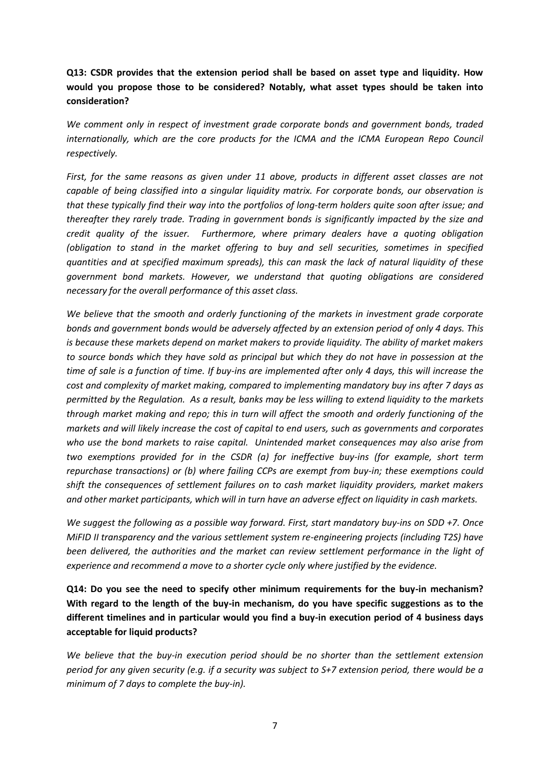# **Q13: CSDR provides that the extension period shall be based on asset type and liquidity. How would you propose those to be considered? Notably, what asset types should be taken into consideration?**

*We comment only in respect of investment grade corporate bonds and government bonds, traded*  internationally, which are the core products for the ICMA and the ICMA European Repo Council *respectively.* 

*First, for the same reasons as given under 11 above, products in different asset classes are not capable of being classified into a singular liquidity matrix. For corporate bonds, our observation is that these typically find their way into the portfolios of long-term holders quite soon after issue; and thereafter they rarely trade. Trading in government bonds is significantly impacted by the size and credit quality of the issuer. Furthermore, where primary dealers have a quoting obligation (obligation to stand in the market offering to buy and sell securities, sometimes in specified quantities and at specified maximum spreads), this can mask the lack of natural liquidity of these government bond markets. However, we understand that quoting obligations are considered necessary for the overall performance of this asset class.*

*We believe that the smooth and orderly functioning of the markets in investment grade corporate bonds and government bonds would be adversely affected by an extension period of only 4 days. This is because these markets depend on market makers to provide liquidity. The ability of market makers to source bonds which they have sold as principal but which they do not have in possession at the time of sale is a function of time. If buy-ins are implemented after only 4 days, this will increase the cost and complexity of market making, compared to implementing mandatory buy ins after 7 days as permitted by the Regulation. As a result, banks may be less willing to extend liquidity to the markets through market making and repo; this in turn will affect the smooth and orderly functioning of the markets and will likely increase the cost of capital to end users, such as governments and corporates who use the bond markets to raise capital. Unintended market consequences may also arise from two exemptions provided for in the CSDR (a) for ineffective buy-ins (for example, short term repurchase transactions) or (b) where failing CCPs are exempt from buy-in; these exemptions could shift the consequences of settlement failures on to cash market liquidity providers, market makers and other market participants, which will in turn have an adverse effect on liquidity in cash markets.*

*We suggest the following as a possible way forward. First, start mandatory buy-ins on SDD +7. Once MiFID II transparency and the various settlement system re-engineering projects (including T2S) have been delivered, the authorities and the market can review settlement performance in the light of experience and recommend a move to a shorter cycle only where justified by the evidence.*

**Q14: Do you see the need to specify other minimum requirements for the buy-in mechanism? With regard to the length of the buy-in mechanism, do you have specific suggestions as to the different timelines and in particular would you find a buy-in execution period of 4 business days acceptable for liquid products?** 

*We believe that the buy-in execution period should be no shorter than the settlement extension period for any given security (e.g. if a security was subject to S+7 extension period, there would be a minimum of 7 days to complete the buy-in).*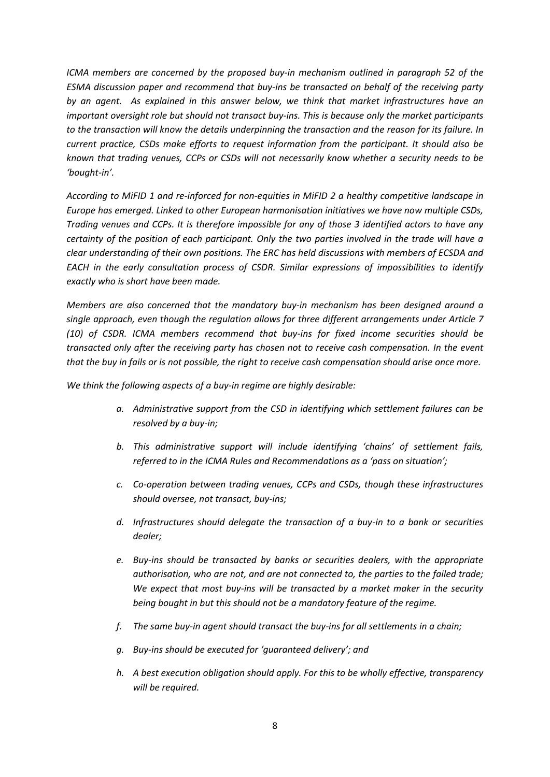*ICMA members are concerned by the proposed buy-in mechanism outlined in paragraph 52 of the ESMA discussion paper and recommend that buy-ins be transacted on behalf of the receiving party by an agent. As explained in this answer below, we think that market infrastructures have an important oversight role but should not transact buy-ins. This is because only the market participants to the transaction will know the details underpinning the transaction and the reason for its failure. In current practice, CSDs make efforts to request information from the participant. It should also be known that trading venues, CCPs or CSDs will not necessarily know whether a security needs to be 'bought-in'.* 

*According to MiFID 1 and re-inforced for non-equities in MiFID 2 a healthy competitive landscape in Europe has emerged. Linked to other European harmonisation initiatives we have now multiple CSDs, Trading venues and CCPs. It is therefore impossible for any of those 3 identified actors to have any certainty of the position of each participant. Only the two parties involved in the trade will have a clear understanding of their own positions. The ERC has held discussions with members of ECSDA and EACH in the early consultation process of CSDR. Similar expressions of impossibilities to identify exactly who is short have been made.* 

*Members are also concerned that the mandatory buy-in mechanism has been designed around a single approach, even though the regulation allows for three different arrangements under Article 7 (10) of CSDR. ICMA members recommend that buy-ins for fixed income securities should be transacted only after the receiving party has chosen not to receive cash compensation. In the event that the buy in fails or is not possible, the right to receive cash compensation should arise once more.* 

*We think the following aspects of a buy-in regime are highly desirable:*

- *a. Administrative support from the CSD in identifying which settlement failures can be resolved by a buy-in;*
- *b. This administrative support will include identifying 'chains' of settlement fails, referred to in the ICMA Rules and Recommendations as a 'pass on situation';*
- *c. Co-operation between trading venues, CCPs and CSDs, though these infrastructures should oversee, not transact, buy-ins;*
- *d. Infrastructures should delegate the transaction of a buy-in to a bank or securities dealer;*
- *e. Buy-ins should be transacted by banks or securities dealers, with the appropriate authorisation, who are not, and are not connected to, the parties to the failed trade; We expect that most buy-ins will be transacted by a market maker in the security being bought in but this should not be a mandatory feature of the regime.*
- *f. The same buy-in agent should transact the buy-ins for all settlements in a chain;*
- *g. Buy-ins should be executed for 'guaranteed delivery'; and*
- *h. A best execution obligation should apply. For this to be wholly effective, transparency will be required.*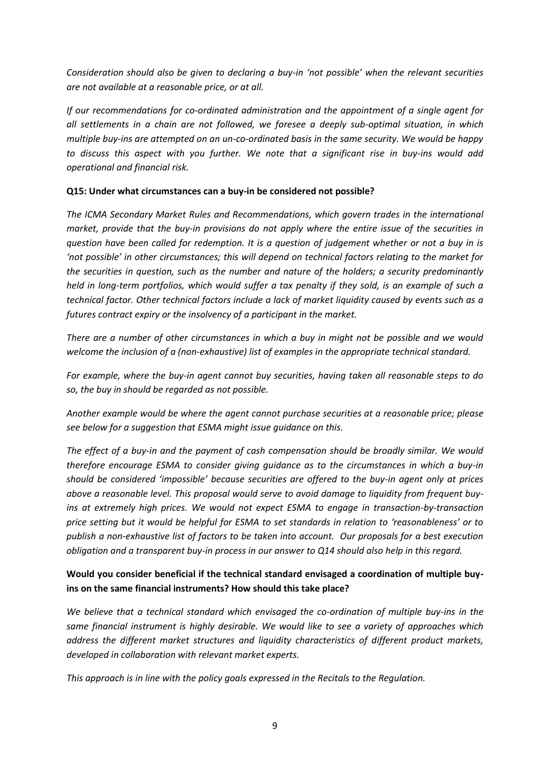*Consideration should also be given to declaring a buy-in 'not possible' when the relevant securities are not available at a reasonable price, or at all.* 

*If our recommendations for co-ordinated administration and the appointment of a single agent for all settlements in a chain are not followed, we foresee a deeply sub-optimal situation, in which multiple buy-ins are attempted on an un-co-ordinated basis in the same security. We would be happy to discuss this aspect with you further. We note that a significant rise in buy-ins would add operational and financial risk.*

#### **Q15: Under what circumstances can a buy-in be considered not possible?**

*The ICMA Secondary Market Rules and Recommendations, which govern trades in the international market, provide that the buy-in provisions do not apply where the entire issue of the securities in question have been called for redemption. It is a question of judgement whether or not a buy in is 'not possible' in other circumstances; this will depend on technical factors relating to the market for the securities in question, such as the number and nature of the holders; a security predominantly held in long-term portfolios, which would suffer a tax penalty if they sold, is an example of such a technical factor. Other technical factors include a lack of market liquidity caused by events such as a futures contract expiry or the insolvency of a participant in the market.*

*There are a number of other circumstances in which a buy in might not be possible and we would welcome the inclusion of a (non-exhaustive) list of examples in the appropriate technical standard.*

*For example, where the buy-in agent cannot buy securities, having taken all reasonable steps to do so, the buy in should be regarded as not possible.* 

*Another example would be where the agent cannot purchase securities at a reasonable price; please see below for a suggestion that ESMA might issue guidance on this.*

*The effect of a buy-in and the payment of cash compensation should be broadly similar. We would therefore encourage ESMA to consider giving guidance as to the circumstances in which a buy-in should be considered 'impossible' because securities are offered to the buy-in agent only at prices above a reasonable level. This proposal would serve to avoid damage to liquidity from frequent buyins at extremely high prices. We would not expect ESMA to engage in transaction-by-transaction price setting but it would be helpful for ESMA to set standards in relation to 'reasonableness' or to publish a non-exhaustive list of factors to be taken into account. Our proposals for a best execution obligation and a transparent buy-in process in our answer to Q14 should also help in this regard.*

# **Would you consider beneficial if the technical standard envisaged a coordination of multiple buyins on the same financial instruments? How should this take place?**

*We believe that a technical standard which envisaged the co-ordination of multiple buy-ins in the same financial instrument is highly desirable. We would like to see a variety of approaches which address the different market structures and liquidity characteristics of different product markets, developed in collaboration with relevant market experts.*

*This approach is in line with the policy goals expressed in the Recitals to the Regulation.*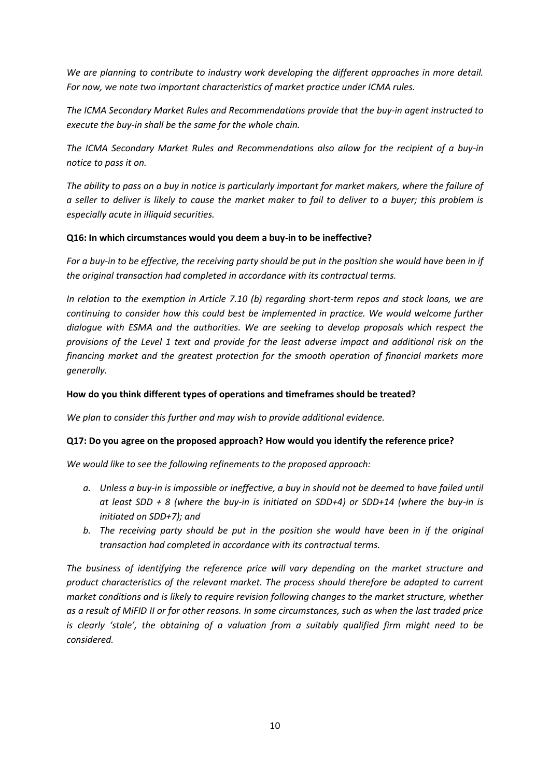*We are planning to contribute to industry work developing the different approaches in more detail. For now, we note two important characteristics of market practice under ICMA rules.*

*The ICMA Secondary Market Rules and Recommendations provide that the buy-in agent instructed to execute the buy-in shall be the same for the whole chain.*

*The ICMA Secondary Market Rules and Recommendations also allow for the recipient of a buy-in notice to pass it on.* 

*The ability to pass on a buy in notice is particularly important for market makers, where the failure of a seller to deliver is likely to cause the market maker to fail to deliver to a buyer; this problem is especially acute in illiquid securities.*

### **Q16: In which circumstances would you deem a buy-in to be ineffective?**

*For a buy-in to be effective, the receiving party should be put in the position she would have been in if the original transaction had completed in accordance with its contractual terms.* 

*In relation to the exemption in Article 7.10 (b) regarding short-term repos and stock loans, we are continuing to consider how this could best be implemented in practice. We would welcome further dialogue with ESMA and the authorities. We are seeking to develop proposals which respect the provisions of the Level 1 text and provide for the least adverse impact and additional risk on the financing market and the greatest protection for the smooth operation of financial markets more generally.* 

#### **How do you think different types of operations and timeframes should be treated?**

*We plan to consider this further and may wish to provide additional evidence.*

#### **Q17: Do you agree on the proposed approach? How would you identify the reference price?**

*We would like to see the following refinements to the proposed approach:*

- *a. Unless a buy-in is impossible or ineffective, a buy in should not be deemed to have failed until at least SDD + 8 (where the buy-in is initiated on SDD+4) or SDD+14 (where the buy-in is initiated on SDD+7); and*
- *b. The receiving party should be put in the position she would have been in if the original transaction had completed in accordance with its contractual terms.*

*The business of identifying the reference price will vary depending on the market structure and product characteristics of the relevant market. The process should therefore be adapted to current market conditions and is likely to require revision following changes to the market structure, whether as a result of MiFID II or for other reasons. In some circumstances, such as when the last traded price is clearly 'stale', the obtaining of a valuation from a suitably qualified firm might need to be considered.*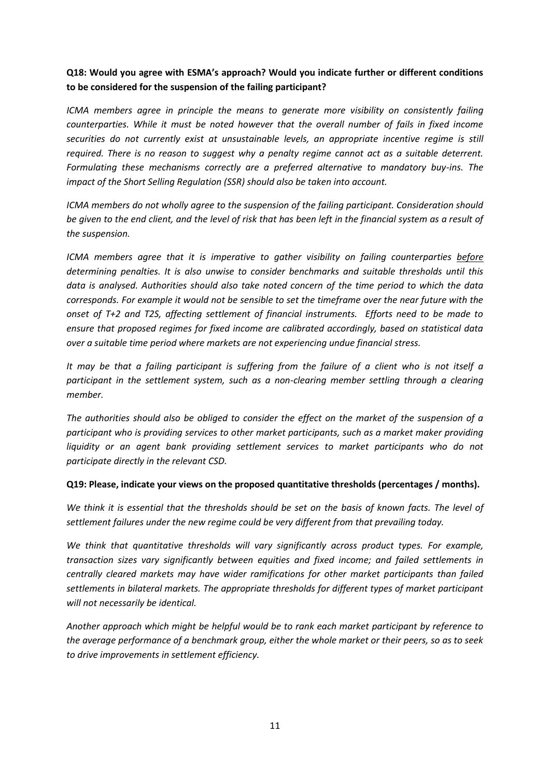# **Q18: Would you agree with ESMA's approach? Would you indicate further or different conditions to be considered for the suspension of the failing participant?**

*ICMA members agree in principle the means to generate more visibility on consistently failing counterparties. While it must be noted however that the overall number of fails in fixed income securities do not currently exist at unsustainable levels, an appropriate incentive regime is still required. There is no reason to suggest why a penalty regime cannot act as a suitable deterrent. Formulating these mechanisms correctly are a preferred alternative to mandatory buy-ins. The impact of the Short Selling Regulation (SSR) should also be taken into account.*

*ICMA members do not wholly agree to the suspension of the failing participant. Consideration should be given to the end client, and the level of risk that has been left in the financial system as a result of the suspension.* 

*ICMA members agree that it is imperative to gather visibility on failing counterparties before determining penalties. It is also unwise to consider benchmarks and suitable thresholds until this data is analysed. Authorities should also take noted concern of the time period to which the data corresponds. For example it would not be sensible to set the timeframe over the near future with the onset of T+2 and T2S, affecting settlement of financial instruments. Efforts need to be made to ensure that proposed regimes for fixed income are calibrated accordingly, based on statistical data over a suitable time period where markets are not experiencing undue financial stress.* 

*It may be that a failing participant is suffering from the failure of a client who is not itself a participant in the settlement system, such as a non-clearing member settling through a clearing member.*

*The authorities should also be obliged to consider the effect on the market of the suspension of a participant who is providing services to other market participants, such as a market maker providing*  liquidity or an agent bank providing settlement services to market participants who do not *participate directly in the relevant CSD.* 

### **Q19: Please, indicate your views on the proposed quantitative thresholds (percentages / months).**

*We think it is essential that the thresholds should be set on the basis of known facts. The level of settlement failures under the new regime could be very different from that prevailing today.*

*We think that quantitative thresholds will vary significantly across product types. For example, transaction sizes vary significantly between equities and fixed income; and failed settlements in centrally cleared markets may have wider ramifications for other market participants than failed settlements in bilateral markets. The appropriate thresholds for different types of market participant will not necessarily be identical.*

*Another approach which might be helpful would be to rank each market participant by reference to the average performance of a benchmark group, either the whole market or their peers, so as to seek to drive improvements in settlement efficiency.*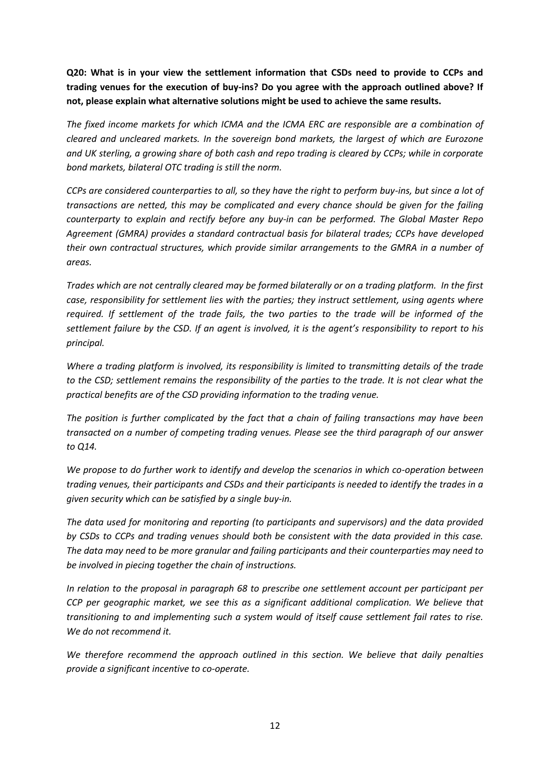**Q20: What is in your view the settlement information that CSDs need to provide to CCPs and trading venues for the execution of buy-ins? Do you agree with the approach outlined above? If not, please explain what alternative solutions might be used to achieve the same results.** 

*The fixed income markets for which ICMA and the ICMA ERC are responsible are a combination of cleared and uncleared markets. In the sovereign bond markets, the largest of which are Eurozone and UK sterling, a growing share of both cash and repo trading is cleared by CCPs; while in corporate bond markets, bilateral OTC trading is still the norm.*

*CCPs are considered counterparties to all, so they have the right to perform buy-ins, but since a lot of transactions are netted, this may be complicated and every chance should be given for the failing counterparty to explain and rectify before any buy-in can be performed. The Global Master Repo Agreement (GMRA) provides a standard contractual basis for bilateral trades; CCPs have developed their own contractual structures, which provide similar arrangements to the GMRA in a number of areas.*

*Trades which are not centrally cleared may be formed bilaterally or on a trading platform. In the first case, responsibility for settlement lies with the parties; they instruct settlement, using agents where required. If settlement of the trade fails, the two parties to the trade will be informed of the settlement failure by the CSD. If an agent is involved, it is the agent's responsibility to report to his principal.*

*Where a trading platform is involved, its responsibility is limited to transmitting details of the trade to the CSD; settlement remains the responsibility of the parties to the trade. It is not clear what the practical benefits are of the CSD providing information to the trading venue.* 

*The position is further complicated by the fact that a chain of failing transactions may have been transacted on a number of competing trading venues. Please see the third paragraph of our answer to Q14.*

*We propose to do further work to identify and develop the scenarios in which co-operation between trading venues, their participants and CSDs and their participants is needed to identify the trades in a given security which can be satisfied by a single buy-in.*

*The data used for monitoring and reporting (to participants and supervisors) and the data provided by CSDs to CCPs and trading venues should both be consistent with the data provided in this case. The data may need to be more granular and failing participants and their counterparties may need to be involved in piecing together the chain of instructions.*

*In relation to the proposal in paragraph 68 to prescribe one settlement account per participant per CCP per geographic market, we see this as a significant additional complication. We believe that transitioning to and implementing such a system would of itself cause settlement fail rates to rise. We do not recommend it.*

*We therefore recommend the approach outlined in this section. We believe that daily penalties provide a significant incentive to co-operate.*